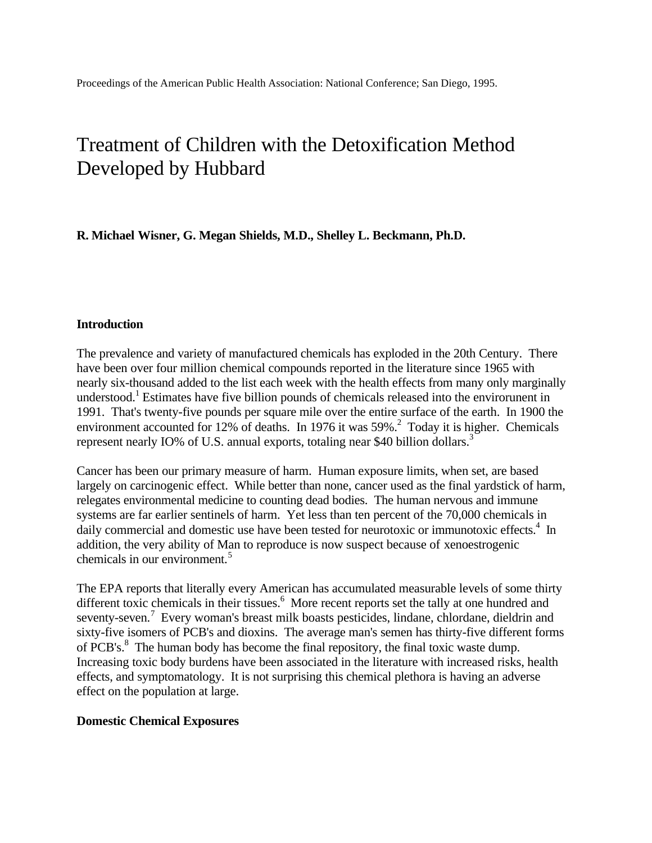# Treatment of Children with the Detoxification Method Developed by Hubbard

**R. Michael Wisner, G. Megan Shields, M.D., Shelley L. Beckmann, Ph.D.**

#### **Introduction**

The prevalence and variety of manufactured chemicals has exploded in the 20th Century. There have been over four million chemical compounds reported in the literature since 1965 with nearly six-thousand added to the list each week with the health effects from many only marginally understood.<sup>1</sup> Estimates have five billion pounds of chemicals released into the envirorunent in 1991. That's twenty-five pounds per square mile over the entire surface of the earth. In 1900 the environment accounted for 12% of deaths. In 1976 it was  $59\%$ .<sup>2</sup> Today it is higher. Chemicals represent nearly IO% of U.S. annual exports, totaling near \$40 billion dollars.<sup>3</sup>

Cancer has been our primary measure of harm. Human exposure limits, when set, are based largely on carcinogenic effect. While better than none, cancer used as the final yardstick of harm, relegates environmental medicine to counting dead bodies. The human nervous and immune systems are far earlier sentinels of harm. Yet less than ten percent of the 70,000 chemicals in daily commercial and domestic use have been tested for neurotoxic or immunotoxic effects.<sup>4</sup> In addition, the very ability of Man to reproduce is now suspect because of xenoestrogenic chemicals in our environment.<sup>5</sup>

The EPA reports that literally every American has accumulated measurable levels of some thirty different toxic chemicals in their tissues.<sup>6</sup> More recent reports set the tally at one hundred and seventy-seven.<sup>7</sup> Every woman's breast milk boasts pesticides, lindane, chlordane, dieldrin and sixty-five isomers of PCB's and dioxins. The average man's semen has thirty-five different forms of PCB's.<sup>8</sup> The human body has become the final repository, the final toxic waste dump. Increasing toxic body burdens have been associated in the literature with increased risks, health effects, and symptomatology. It is not surprising this chemical plethora is having an adverse effect on the population at large.

#### **Domestic Chemical Exposures**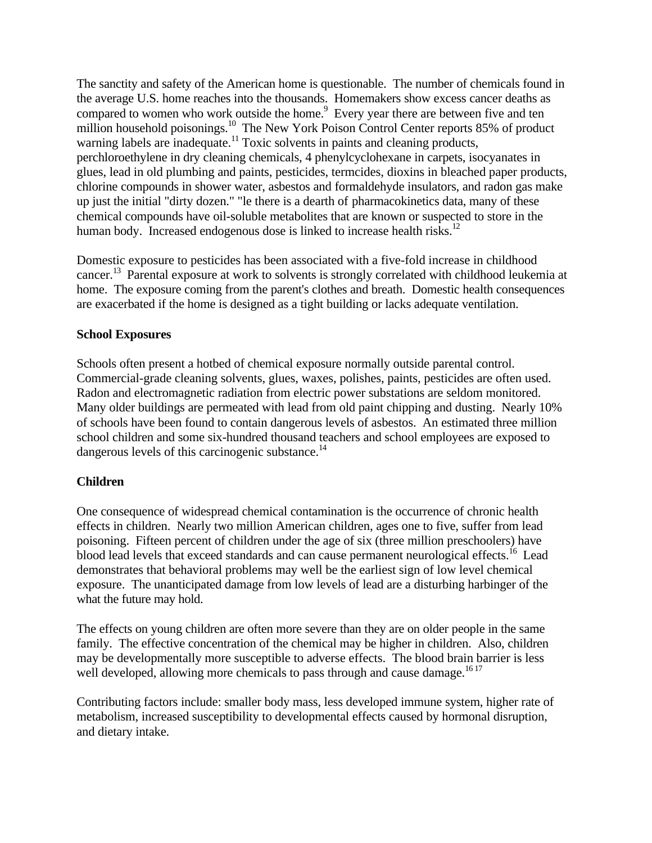The sanctity and safety of the American home is questionable. The number of chemicals found in the average U.S. home reaches into the thousands. Homemakers show excess cancer deaths as compared to women who work outside the home.<sup>9</sup> Every year there are between five and ten million household poisonings.<sup>10</sup> The New York Poison Control Center reports 85% of product warning labels are inadequate.<sup>11</sup> Toxic solvents in paints and cleaning products, perchloroethylene in dry cleaning chemicals, 4 phenylcyclohexane in carpets, isocyanates in glues, lead in old plumbing and paints, pesticides, termcides, dioxins in bleached paper products, chlorine compounds in shower water, asbestos and formaldehyde insulators, and radon gas make up just the initial "dirty dozen." "le there is a dearth of pharmacokinetics data, many of these chemical compounds have oil-soluble metabolites that are known or suspected to store in the human body. Increased endogenous dose is linked to increase health risks.<sup>12</sup>

Domestic exposure to pesticides has been associated with a five-fold increase in childhood cancer.<sup>13</sup> Parental exposure at work to solvents is strongly correlated with childhood leukemia at home. The exposure coming from the parent's clothes and breath. Domestic health consequences are exacerbated if the home is designed as a tight building or lacks adequate ventilation.

# **School Exposures**

Schools often present a hotbed of chemical exposure normally outside parental control. Commercial-grade cleaning solvents, glues, waxes, polishes, paints, pesticides are often used. Radon and electromagnetic radiation from electric power substations are seldom monitored. Many older buildings are permeated with lead from old paint chipping and dusting. Nearly 10% of schools have been found to contain dangerous levels of asbestos. An estimated three million school children and some six-hundred thousand teachers and school employees are exposed to dangerous levels of this carcinogenic substance. $^{14}$ 

#### **Children**

One consequence of widespread chemical contamination is the occurrence of chronic health effects in children. Nearly two million American children, ages one to five, suffer from lead poisoning. Fifteen percent of children under the age of six (three million preschoolers) have blood lead levels that exceed standards and can cause permanent neurological effects.<sup>16</sup> Lead demonstrates that behavioral problems may well be the earliest sign of low level chemical exposure. The unanticipated damage from low levels of lead are a disturbing harbinger of the what the future may hold.

The effects on young children are often more severe than they are on older people in the same family. The effective concentration of the chemical may be higher in children. Also, children may be developmentally more susceptible to adverse effects. The blood brain barrier is less well developed, allowing more chemicals to pass through and cause damage.<sup>1617</sup>

Contributing factors include: smaller body mass, less developed immune system, higher rate of metabolism, increased susceptibility to developmental effects caused by hormonal disruption, and dietary intake.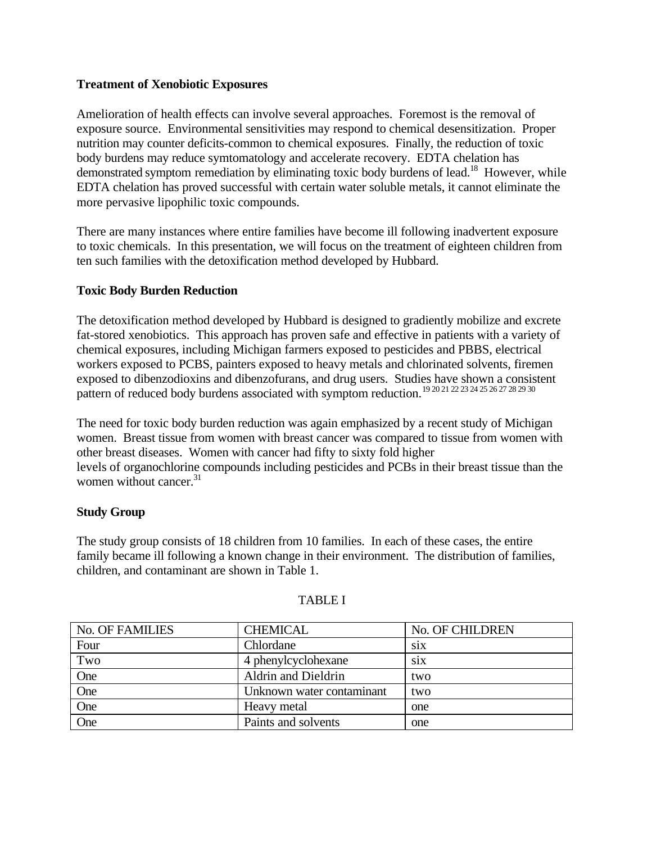### **Treatment of Xenobiotic Exposures**

Amelioration of health effects can involve several approaches. Foremost is the removal of exposure source. Environmental sensitivities may respond to chemical desensitization. Proper nutrition may counter deficits-common to chemical exposures. Finally, the reduction of toxic body burdens may reduce symtomatology and accelerate recovery. EDTA chelation has demonstrated symptom remediation by eliminating toxic body burdens of lead.<sup>18</sup> However, while EDTA chelation has proved successful with certain water soluble metals, it cannot eliminate the more pervasive lipophilic toxic compounds.

There are many instances where entire families have become ill following inadvertent exposure to toxic chemicals. In this presentation, we will focus on the treatment of eighteen children from ten such families with the detoxification method developed by Hubbard.

# **Toxic Body Burden Reduction**

The detoxification method developed by Hubbard is designed to gradiently mobilize and excrete fat-stored xenobiotics. This approach has proven safe and effective in patients with a variety of chemical exposures, including Michigan farmers exposed to pesticides and PBBS, electrical workers exposed to PCBS, painters exposed to heavy metals and chlorinated solvents, firemen exposed to dibenzodioxins and dibenzofurans, and drug users. Studies have shown a consistent pattern of reduced body burdens associated with symptom reduction.<sup>19 20 21 22 23 24 25 26 27 28 29 30</sup>

The need for toxic body burden reduction was again emphasized by a recent study of Michigan women. Breast tissue from women with breast cancer was compared to tissue from women with other breast diseases. Women with cancer had fifty to sixty fold higher levels of organochlorine compounds including pesticides and PCBs in their breast tissue than the women without cancer.<sup>31</sup>

#### **Study Group**

The study group consists of 18 children from 10 families. In each of these cases, the entire family became ill following a known change in their environment. The distribution of families, children, and contaminant are shown in Table 1.

| <b>No. OF FAMILIES</b> | <b>CHEMICAL</b>           | No. OF CHILDREN |
|------------------------|---------------------------|-----------------|
| Four                   | Chlordane                 | S1X             |
| Two                    | 4 phenylcyclohexane       | <b>SIX</b>      |
| One                    | Aldrin and Dieldrin       | two             |
| One                    | Unknown water contaminant | two             |
| One                    | Heavy metal               | one             |
| One                    | Paints and solvents       | one             |

#### TABLE I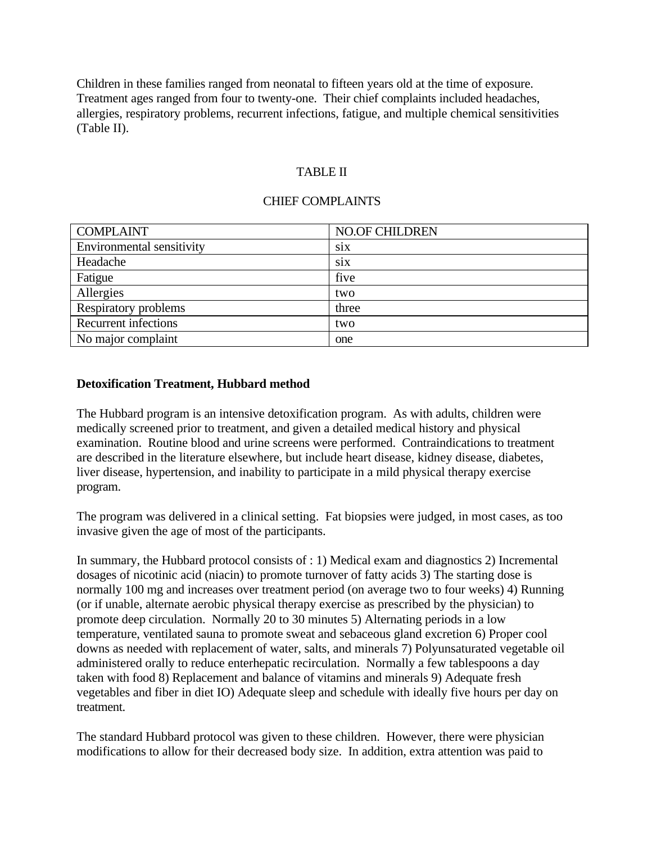Children in these families ranged from neonatal to fifteen years old at the time of exposure. Treatment ages ranged from four to twenty-one. Their chief complaints included headaches, allergies, respiratory problems, recurrent infections, fatigue, and multiple chemical sensitivities (Table II).

# TABLE II

### CHIEF COMPLAINTS

| <b>COMPLAINT</b>            | <b>NO.OF CHILDREN</b> |
|-----------------------------|-----------------------|
| Environmental sensitivity   | SiX                   |
| Headache                    | SiX                   |
| Fatigue                     | five                  |
| Allergies                   | two                   |
| Respiratory problems        | three                 |
| <b>Recurrent infections</b> | two                   |
| No major complaint          | one                   |

#### **Detoxification Treatment, Hubbard method**

The Hubbard program is an intensive detoxification program. As with adults, children were medically screened prior to treatment, and given a detailed medical history and physical examination. Routine blood and urine screens were performed. Contraindications to treatment are described in the literature elsewhere, but include heart disease, kidney disease, diabetes, liver disease, hypertension, and inability to participate in a mild physical therapy exercise program.

The program was delivered in a clinical setting. Fat biopsies were judged, in most cases, as too invasive given the age of most of the participants.

In summary, the Hubbard protocol consists of : 1) Medical exam and diagnostics 2) Incremental dosages of nicotinic acid (niacin) to promote turnover of fatty acids 3) The starting dose is normally 100 mg and increases over treatment period (on average two to four weeks) 4) Running (or if unable, alternate aerobic physical therapy exercise as prescribed by the physician) to promote deep circulation. Normally 20 to 30 minutes 5) Alternating periods in a low temperature, ventilated sauna to promote sweat and sebaceous gland excretion 6) Proper cool downs as needed with replacement of water, salts, and minerals 7) Polyunsaturated vegetable oil administered orally to reduce enterhepatic recirculation. Normally a few tablespoons a day taken with food 8) Replacement and balance of vitamins and minerals 9) Adequate fresh vegetables and fiber in diet IO) Adequate sleep and schedule with ideally five hours per day on treatment.

The standard Hubbard protocol was given to these children. However, there were physician modifications to allow for their decreased body size. In addition, extra attention was paid to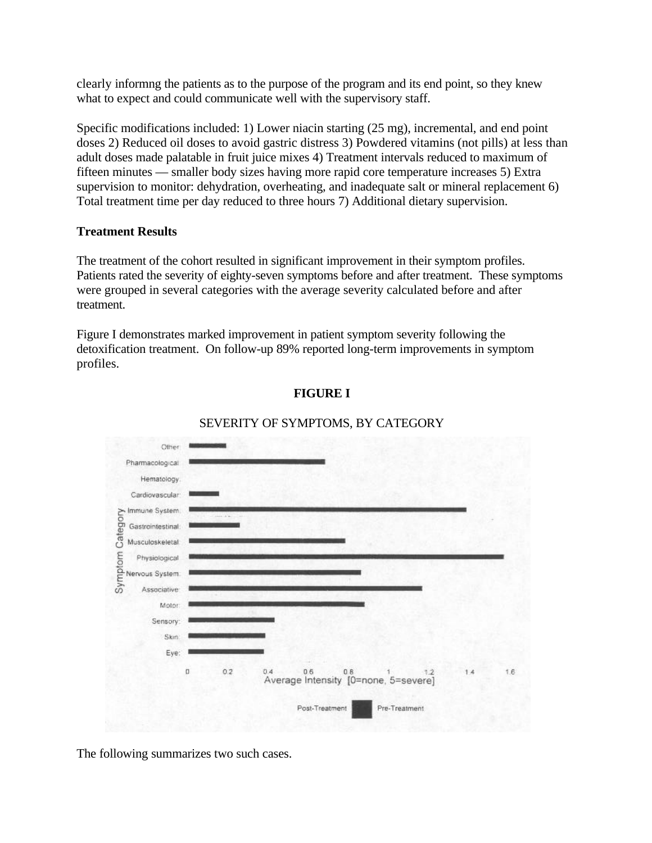clearly informng the patients as to the purpose of the program and its end point, so they knew what to expect and could communicate well with the supervisory staff.

Specific modifications included: 1) Lower niacin starting (25 mg), incremental, and end point doses 2) Reduced oil doses to avoid gastric distress 3) Powdered vitamins (not pills) at less than adult doses made palatable in fruit juice mixes 4) Treatment intervals reduced to maximum of fifteen minutes — smaller body sizes having more rapid core temperature increases 5) Extra supervision to monitor: dehydration, overheating, and inadequate salt or mineral replacement 6) Total treatment time per day reduced to three hours 7) Additional dietary supervision.

# **Treatment Results**

The treatment of the cohort resulted in significant improvement in their symptom profiles. Patients rated the severity of eighty-seven symptoms before and after treatment. These symptoms were grouped in several categories with the average severity calculated before and after treatment.

Figure I demonstrates marked improvement in patient symptom severity following the detoxification treatment. On follow-up 89% reported long-term improvements in symptom profiles.

# **FIGURE I**



# SEVERITY OF SYMPTOMS, BY CATEGORY

The following summarizes two such cases.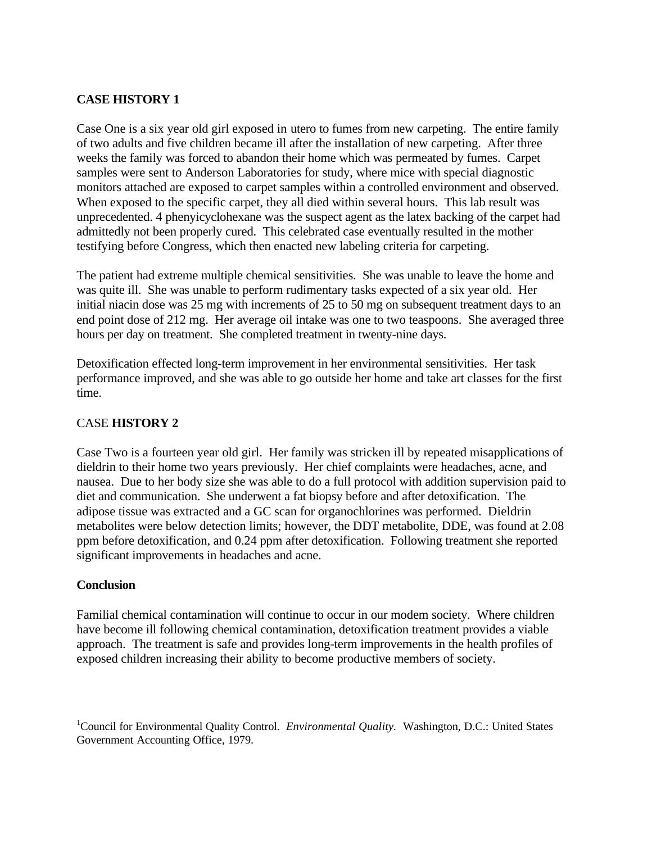# **CASE HISTORY 1**

Case One is a six year old girl exposed in utero to fumes from new carpeting. The entire family of two adults and five children became ill after the installation of new carpeting. After three weeks the family was forced to abandon their home which was permeated by fumes. Carpet samples were sent to Anderson Laboratories for study, where mice with special diagnostic monitors attached are exposed to carpet samples within a controlled environment and observed. When exposed to the specific carpet, they all died within several hours. This lab result was unprecedented. 4 phenyicyclohexane was the suspect agent as the latex backing of the carpet had admittedly not been properly cured. This celebrated case eventually resulted in the mother testifying before Congress, which then enacted new labeling criteria for carpeting.

The patient had extreme multiple chemical sensitivities. She was unable to leave the home and was quite ill. She was unable to perform rudimentary tasks expected of a six year old. Her initial niacin dose was 25 mg with increments of 25 to 50 mg on subsequent treatment days to an end point dose of 212 mg. Her average oil intake was one to two teaspoons. She averaged three hours per day on treatment. She completed treatment in twenty-nine days.

Detoxification effected long-term improvement in her environmental sensitivities. Her task performance improved, and she was able to go outside her home and take art classes for the first time.

# CASE **HISTORY 2**

Case Two is a fourteen year old girl. Her family was stricken ill by repeated misapplications of dieldrin to their home two years previously. Her chief complaints were headaches, acne, and nausea. Due to her body size she was able to do a full protocol with addition supervision paid to diet and communication. She underwent a fat biopsy before and after detoxification. The adipose tissue was extracted and a GC scan for organochlorines was performed. Dieldrin metabolites were below detection limits; however, the DDT metabolite, DDE, was found at 2.08 ppm before detoxification, and 0.24 ppm after detoxification. Following treatment she reported significant improvements in headaches and acne.

#### **Conclusion**

Familial chemical contamination will continue to occur in our modem society. Where children have become ill following chemical contamination, detoxification treatment provides a viable approach. The treatment is safe and provides long-term improvements in the health profiles of exposed children increasing their ability to become productive members of society.

<sup>&</sup>lt;sup>1</sup>Council for Environmental Quality Control. *Environmental Quality*. Washington, D.C.: United States Government Accounting Office, 1979.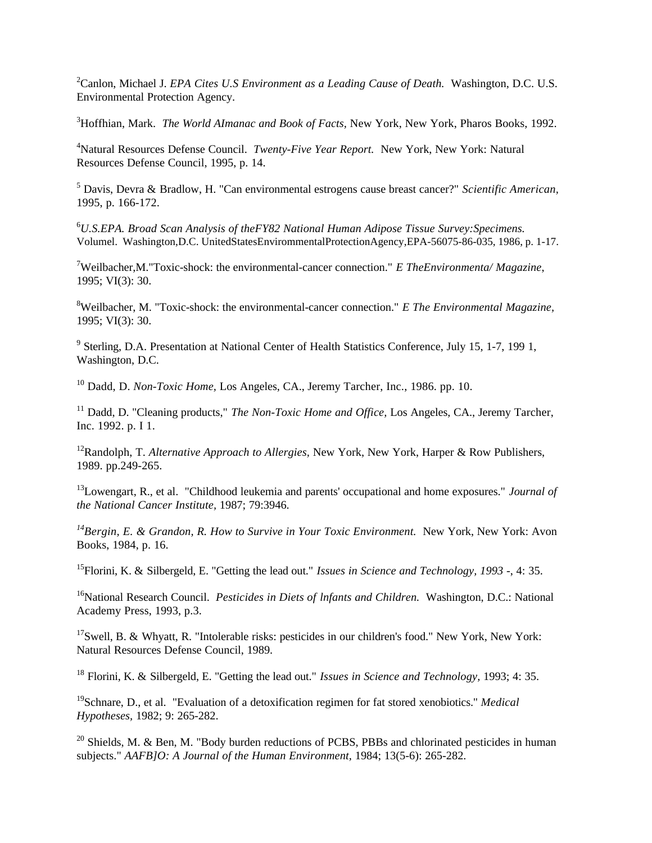<sup>2</sup>Canlon, Michael J. *EPA Cites U.S Environment as a Leading Cause of Death.* Washington, D.C. U.S. Environmental Protection Agency.

<sup>3</sup>Hoffhian, Mark. *The World AImanac and Book of Facts,* New York, New York, Pharos Books, 1992.

<sup>4</sup>Natural Resources Defense Council. *Twenty-Five Year Report.* New York, New York: Natural Resources Defense Council, 1995, p. 14.

5 Davis, Devra & Bradlow, H. "Can environmental estrogens cause breast cancer?" *Scientific American,* 1995, p. 166-172.

<sup>6</sup>*U.S.EPA. Broad Scan Analysis of theFY82 National Human Adipose Tissue Survey:Specimens.* Volumel. Washington,D.C. UnitedStatesEnvirommentalProtectionAgency,EPA-56075-86-035, 1986, p. 1-17.

<sup>7</sup>Weilbacher,M."Toxic-shock: the environmental-cancer connection." *E TheEnvironmenta/ Magazine*, 1995; VI(3): 30.

<sup>8</sup>Weilbacher, M. "Toxic-shock: the environmental-cancer connection." *E The Environmental Magazine,* 1995; VI(3): 30.

<sup>9</sup> Sterling, D.A. Presentation at National Center of Health Statistics Conference, July 15, 1-7, 199 1, Washington, D.C.

<sup>10</sup> Dadd, D. *Non-Toxic Home,* Los Angeles, CA., Jeremy Tarcher, Inc., 1986. pp. 10.

<sup>11</sup> Dadd, D. "Cleaning products," *The Non-Toxic Home and Office*, Los Angeles, CA., Jeremy Tarcher, Inc. 1992. p. I 1.

<sup>12</sup>Randolph, T. *Alternative Approach to Allergies,* New York, New York, Harper & Row Publishers, 1989. pp.249-265.

<sup>13</sup>Lowengart, R., et al. "Childhood leukemia and parents' occupational and home exposures." *Journal of the National Cancer Institute,* 1987; 79:3946.

*<sup>14</sup>Bergin, E. & Grandon, R. How to Survive in Your Toxic Environment.* New York, New York: Avon Books, 1984, p. 16.

<sup>15</sup>Florini, K. & Silbergeld, E. "Getting the lead out." *Issues in Science and Technology, 1993* -, 4: 35.

<sup>16</sup>National Research Council. *Pesticides in Diets of lnfants and Children.* Washington, D.C.: National Academy Press, 1993, p.3.

 $17$ Swell, B. & Whyatt, R. "Intolerable risks: pesticides in our children's food." New York, New York: Natural Resources Defense Council, 1989.

<sup>18</sup> Florini, K. & Silbergeld, E. "Getting the lead out." *Issues in Science and Technology,* 1993; 4: 35.

<sup>19</sup>Schnare, D., et al. "Evaluation of a detoxification regimen for fat stored xenobiotics." *Medical Hypotheses,* 1982; 9: 265-282.

 $^{20}$  Shields, M. & Ben, M. "Body burden reductions of PCBS, PBBs and chlorinated pesticides in human subjects." *AAFB]O: A Journal of the Human Environment,* 1984; 13(5-6): 265-282.